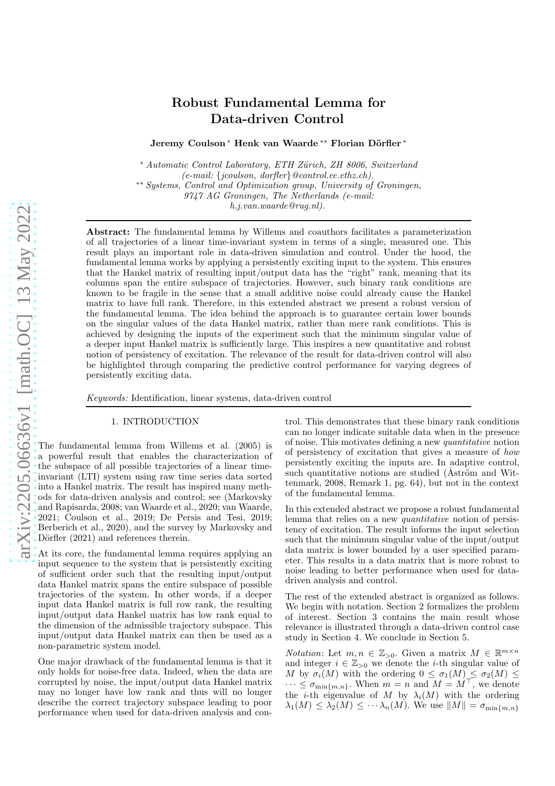# Robust Fundamental Lemma for Data-driven Control

Jeremy Coulson<sup>\*</sup> Henk van Waarde<sup>\*\*</sup> Florian Dörfler<sup>\*</sup>

∗ *Automatic Control Laboratory, ETH Z¨urich, ZH 8006, Switzerland (e-mail:* {*jcoulson, dorfler*}*@control.ee.ethz.ch).*

∗∗ *Systems, Control and Optimization group, University of Groningen,*

*9747 AG Groningen, The Netherlands (e-mail:*

*h.j.van.waarde@rug.nl).*

Abstract: The fundamental lemma by Willems and coauthors facilitates a parameterization of all trajectories of a linear time-invariant system in terms of a single, measured one. This result plays an important role in data-driven simulation and control. Under the hood, the fundamental lemma works by applying a persistently exciting input to the system. This ensures that the Hankel matrix of resulting input/output data has the "right" rank, meaning that its columns span the entire subspace of trajectories. However, such binary rank conditions are known to be fragile in the sense that a small additive noise could already cause the Hankel matrix to have full rank. Therefore, in this extended abstract we present a robust version of the fundamental lemma. The idea behind the approach is to guarantee certain lower bounds on the singular values of the data Hankel matrix, rather than mere rank conditions. This is achieved by designing the inputs of the experiment such that the minimum singular value of a deeper input Hankel matrix is sufficiently large. This inspires a new quantitative and robust notion of persistency of excitation. The relevance of the result for data-driven control will also be highlighted through comparing the predictive control performance for varying degrees of persistently exciting data.

*Keywords:* Identification, linear systems, data-driven control

## 1. INTRODUCTION

The fundamental lemma from Willems et al. (2005) is a powerful result that enables the characterization of the subspace of all possible trajectories of a linear timeinvariant (LTI) system using raw time series data sorted into a Hankel matrix. The result has inspired many methods for data-driven analysis and control; see (Markovsky and Rapisarda, 2008; van Waarde et al., 2020; van Waarde, 2021; Coulson et al., 2019; De Persis and Tesi, 2019; Berberich et al., 2020), and the survey by Markovsky and Dörfler (2021) and references therein.

At its core, the fundamental lemma requires applying an input sequence to the system that is persistently exciting of sufficient order such that the resulting input/output data Hankel matrix spans the entire subspace of possible trajectories of the system. In other words, if a deeper input data Hankel matrix is full row rank, the resulting input/output data Hankel matrix has low rank equal to the dimension of the admissible trajectory subspace. This input/output data Hankel matrix can then be used as a non-parametric system model.

One major drawback of the fundamental lemma is that it only holds for noise-free data. Indeed, when the data are corrupted by noise, the input/output data Hankel matrix may no longer have low rank and thus will no longer describe the correct trajectory subspace leading to poor performance when used for data-driven analysis and control. This demonstrates that these binary rank conditions can no longer indicate suitable data when in the presence of noise. This motivates defining a new *quantitative* notion of persistency of excitation that gives a measure of *how* persistently exciting the inputs are. In adaptive control, such quantitative notions are studied (Aström and Wittenmark, 2008, Remark 1, pg. 64), but not in the context of the fundamental lemma.

In this extended abstract we propose a robust fundamental lemma that relies on a new *quantitative* notion of persistency of excitation. The result informs the input selection such that the minimum singular value of the input/output data matrix is lower bounded by a user specified parameter. This results in a data matrix that is more robust to noise leading to better performance when used for datadriven analysis and control.

The rest of the extended abstract is organized as follows. We begin with notation. Section 2 formalizes the problem of interest. Section 3 contains the main result whose relevance is illustrated through a data-driven control case study in Section 4. We conclude in Section 5.

*Notation*: Let  $m, n \in \mathbb{Z}_{>0}$ . Given a matrix  $M \in \mathbb{R}^{m \times n}$ and integer  $i \in \mathbb{Z}_{>0}$  we denote the *i*-th singular value of M by  $\sigma_i(M)$  with the ordering  $0 \leq \sigma_1(M) \leq \sigma_2(M) \leq$  $\cdots \leq \sigma_{\min\{m,n\}}$ . When  $m = n$  and  $M = M^{\top}$ , we denote the *i*-th eigenvalue of M by  $\lambda_i(M)$  with the ordering  $\lambda_1(M) \leq \lambda_2(M) \leq \cdots \lambda_n(M)$ . We use  $||M|| = \sigma_{\min\{m,n\}}$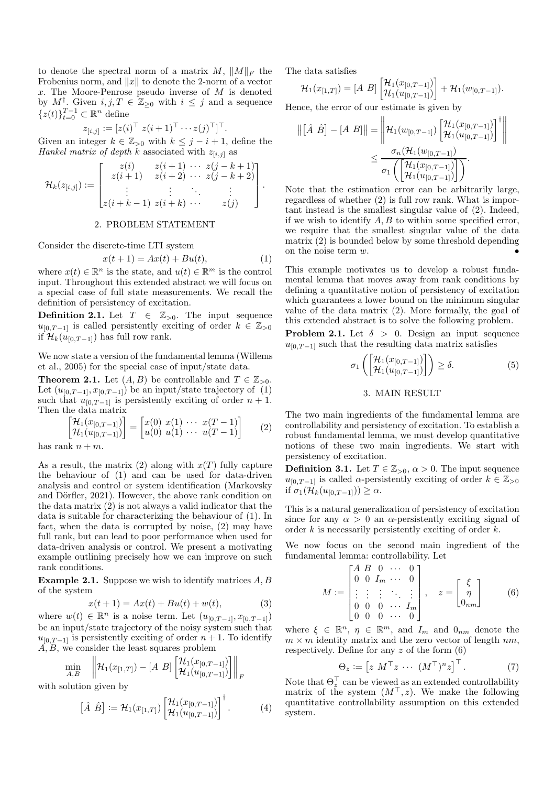to denote the spectral norm of a matrix  $M$ ,  $||M||_F$  the Frobenius norm, and  $||x||$  to denote the 2-norm of a vector x. The Moore-Penrose pseudo inverse of M is denoted by  $M^{\dagger}$ . Given  $i, j, T \in \mathbb{Z}_{\geq 0}$  with  $i \leq j$  and a sequence  $\{z(t)\}_{t=0}^{T-1} \subset \mathbb{R}^n$  define

$$
z_{[i,j]} := [z(i)^\top \ z(i+1)^\top \cdots z(j)^\top]^\top.
$$

Given an integer  $k \in \mathbb{Z}_{>0}$  with  $k \leq j - i + 1$ , define the *Hankel matrix of depth k* associated with  $z_{[i,j]}$  as

$$
\mathcal{H}_k(z_{[i,j]}):=\begin{bmatrix} z(i) & z(i+1) & \cdots & z(j-k+1) \\ z(i+1) & z(i+2) & \cdots & z(j-k+2) \\ \vdots & \vdots & \ddots & \vdots \\ z(i+k-1) & z(i+k) & \cdots & z(j) \end{bmatrix}.
$$

## 2. PROBLEM STATEMENT

Consider the discrete-time LTI system

$$
x(t+1) = Ax(t) + Bu(t),\tag{1}
$$

where  $x(t) \in \mathbb{R}^n$  is the state, and  $u(t) \in \mathbb{R}^m$  is the control input. Throughout this extended abstract we will focus on a special case of full state measurements. We recall the definition of persistency of excitation.

**Definition 2.1.** Let  $T \in \mathbb{Z}_{>0}$ . The input sequence  $u_{[0,T-1]}$  is called persistently exciting of order  $k \in \mathbb{Z}_{>0}$ if  $\mathcal{H}_k(u_{[0,T-1]})$  has full row rank.

We now state a version of the fundamental lemma (Willems et al., 2005) for the special case of input/state data.

**Theorem 2.1.** Let  $(A, B)$  be controllable and  $T \in \mathbb{Z}_{>0}$ . Let  $(u_{[0,T-1]}, x_{[0,T-1]})$  be an input/state trajectory of  $(1)$ such that  $u_{[0,T-1]}$  is persistently exciting of order  $n+1$ . Then the data matrix

$$
\begin{bmatrix} \mathcal{H}_1(x_{[0,T-1]}) \\ \mathcal{H}_1(u_{[0,T-1]}) \end{bmatrix} = \begin{bmatrix} x(0) & x(1) & \cdots & x(T-1) \\ u(0) & u(1) & \cdots & u(T-1) \end{bmatrix}
$$
 (2)

has rank  $n + m$ .

As a result, the matrix (2) along with  $x(T)$  fully capture the behaviour of (1) and can be used for data-driven analysis and control or system identification (Markovsky and Dörfler, 2021). However, the above rank condition on the data matrix (2) is not always a valid indicator that the data is suitable for characterizing the behaviour of (1). In fact, when the data is corrupted by noise, (2) may have full rank, but can lead to poor performance when used for data-driven analysis or control. We present a motivating example outlining precisely how we can improve on such rank conditions.

**Example 2.1.** Suppose we wish to identify matrices  $A, B$ of the system

$$
x(t+1) = Ax(t) + Bu(t) + w(t),
$$
 (3)

where  $w(t) \in \mathbb{R}^n$  is a noise term. Let  $(u_{[0,T-1]}, x_{[0,T-1]})$ be an input/state trajectory of the noisy system such that  $u_{[0,T-1]}$  is persistently exciting of order  $n + 1$ . To identify  $\overrightarrow{A}, \overrightarrow{B}$ , we consider the least squares problem

$$
\min_{A,B} \quad \left\| \mathcal{H}_1(x_{[1,T]}) - [A \; B] \left[ \mathcal{H}_1(x_{[0,T-1]}) \right] \right\|_F
$$

with solution given by

$$
\left[\hat{A}\;\hat{B}\right] := \mathcal{H}_1(x_{[1,T]}) \left[\begin{matrix} \mathcal{H}_1(x_{[0,T-1]}) \\ \mathcal{H}_1(u_{[0,T-1]}) \end{matrix}\right]^{\mathsf{T}}.
$$
 (4)

The data satisfies

$$
\mathcal{H}_1(x_{[1,T]}) = [A \ B] \begin{bmatrix} \mathcal{H}_1(x_{[0,T-1]}) \\ \mathcal{H}_1(u_{[0,T-1]}) \end{bmatrix} + \mathcal{H}_1(w_{[0,T-1]}).
$$

Hence, the error of our estimate is given by

$$
\begin{aligned} \left\| \begin{bmatrix} \hat{A} & \hat{B} \end{bmatrix} - [A \ B] \right\| &= \left\| \mathcal{H}_1(w_{[0,T-1]}) \begin{bmatrix} \mathcal{H}_1(x_{[0,T-1]}) \\ \mathcal{H}_1(u_{[0,T-1]}) \end{bmatrix}^{\dagger} \right\| \\ &\leq \frac{\sigma_n(\mathcal{H}_1(w_{[0,T-1]})}{\sigma_1\left( \begin{bmatrix} \mathcal{H}_1(x_{[0,T-1]}) \\ \mathcal{H}_1(u_{[0,T-1]}) \end{bmatrix} \right)} .\end{aligned}
$$

Note that the estimation error can be arbitrarily large, regardless of whether (2) is full row rank. What is important instead is the smallest singular value of (2). Indeed, if we wish to identify  $A, B$  to within some specified error, we require that the smallest singular value of the data matrix (2) is bounded below by some threshold depending on the noise term  $w$ .

This example motivates us to develop a robust fundamental lemma that moves away from rank conditions by defining a quantitative notion of persistency of excitation which guarantees a lower bound on the minimum singular value of the data matrix (2). More formally, the goal of this extended abstract is to solve the following problem.

**Problem 2.1.** Let  $\delta > 0$ . Design an input sequence  $u_{[0,T-1]}$  such that the resulting data matrix satisfies

$$
\sigma_1\left(\begin{bmatrix} \mathcal{H}_1(x_{[0,T-1]}) \\ \mathcal{H}_1(u_{[0,T-1]}) \end{bmatrix}\right) \ge \delta. \tag{5}
$$

## 3. MAIN RESULT

The two main ingredients of the fundamental lemma are controllability and persistency of excitation. To establish a robust fundamental lemma, we must develop quantitative notions of these two main ingredients. We start with persistency of excitation.

**Definition 3.1.** Let  $T \in \mathbb{Z}_{>0}$ ,  $\alpha > 0$ . The input sequence  $u_{[0,T-1]}$  is called  $\alpha$ -persistently exciting of order  $k \in \mathbb{Z}_{>0}$ if  $\sigma_1(\mathcal{H}_k(u_{[0,T-1]})) \geq \alpha$ .

This is a natural generalization of persistency of excitation since for any  $\alpha > 0$  an  $\alpha$ -persistently exciting signal of order  $k$  is necessarily persistently exciting of order  $k$ .

We now focus on the second main ingredient of the fundamental lemma: controllability. Let

$$
M := \begin{bmatrix} A & B & 0 & \cdots & 0 \\ 0 & 0 & I_m & \cdots & 0 \\ \vdots & \vdots & \vdots & \ddots & \vdots \\ 0 & 0 & 0 & \cdots & I_m \\ 0 & 0 & 0 & \cdots & 0 \end{bmatrix}, \quad z = \begin{bmatrix} \xi \\ \eta \\ 0_{nm} \end{bmatrix}
$$
 (6)

where  $\xi \in \mathbb{R}^n$ ,  $\eta \in \mathbb{R}^m$ , and  $I_m$  and  $0_{nm}$  denote the  $m \times m$  identity matrix and the zero vector of length  $nm$ , respectively. Define for any  $z$  of the form  $(6)$ 

$$
\Theta_z := \left[ z \ M^\top z \ \cdots \ (M^\top)^n z \right]^\top. \tag{7}
$$

Note that  $\Theta_z^{\perp}$  can be viewed as an extended controllability matrix of the system  $(M^{\top}, z)$ . We make the following quantitative controllability assumption on this extended system.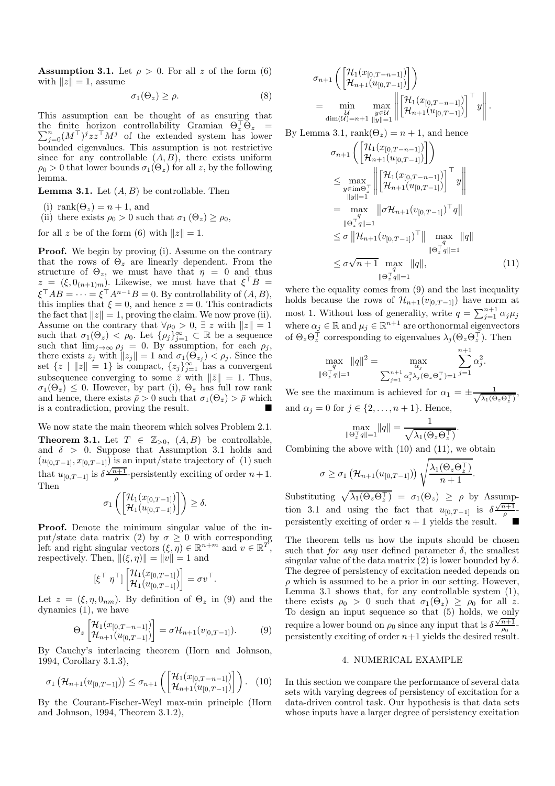**Assumption 3.1.** Let  $\rho > 0$ . For all z of the form (6) with  $||z|| = 1$ , assume

$$
\sigma_1(\Theta_z) \ge \rho. \tag{8}
$$

This assumption can be thought of as ensuring that the finite horizon controllability Gramian  $\Theta_z^{\perp} \Theta_z = \sum_{j=0}^n (M^{\top})^j z z^{\top} M^j$  of the extended system has lower bounded eigenvalues. This assumption is not restrictive since for any controllable  $(A, B)$ , there exists uniform  $\rho_0 > 0$  that lower bounds  $\sigma_1(\Theta_z)$  for all z, by the following lemma.

**Lemma 3.1.** Let  $(A, B)$  be controllable. Then

(i) rank $(\Theta_z) = n + 1$ , and

(ii) there exists  $\rho_0 > 0$  such that  $\sigma_1(\Theta_z) \ge \rho_0$ ,

for all z be of the form (6) with  $||z|| = 1$ .

**Proof.** We begin by proving (i). Assume on the contrary that the rows of  $\Theta_z$  are linearly dependent. From the structure of  $\Theta_z$ , we must have that  $\eta = 0$  and thus  $z = (\xi, 0_{(n+1)m})$ . Likewise, we must have that  $\xi^{\dagger} B =$  $\xi^{\top}AB = \cdots = \xi^{\top}A^{n-1}B = 0.$  By controllability of  $(A, B)$ , this implies that  $\xi = 0$ , and hence  $z = 0$ . This contradicts the fact that  $||z|| = 1$ , proving the claim. We now prove (ii). Assume on the contrary that  $\forall \rho_0 > 0, \exists z$  with  $||z|| = 1$ such that  $\sigma_1(\Theta_z) < \rho_0$ . Let  $\{\rho_j\}_{j=1}^{\infty} \subset \mathbb{R}$  be a sequence such that  $\lim_{j\to\infty} \rho_j = 0$ . By assumption, for each  $\rho_j$ , there exists  $z_j$  with  $||z_j|| = 1$  and  $\sigma_1(\Theta_{z_j}) < \rho_j$ . Since the set  $\{z \mid ||z|| = 1\}$  is compact,  $\{z_j\}_{j=1}^{\infty}$  has a convergent subsequence converging to some  $\bar{z}$  with  $\|\bar{z}\|=1$ . Thus,  $\sigma_1(\Theta_{\bar{z}}) \leq 0$ . However, by part (i),  $\Theta_{\bar{z}}$  has full row rank and hence, there exists  $\bar{\rho} > 0$  such that  $\sigma_1(\Theta_{\bar{z}}) > \bar{\rho}$  which is a contradiction, proving the result.

We now state the main theorem which solves Problem 2.1.

**Theorem 3.1.** Let  $T \in \mathbb{Z}_{>0}$ ,  $(A, B)$  be controllable, and  $\delta > 0$ . Suppose that Assumption 3.1 holds and  $(u_{[0,T-1]}, x_{[0,T-1]})$  is an input/state trajectory of (1) such that  $u_{[0,T-1]}$  is  $\delta \frac{\sqrt{n+1}}{\rho}$ -persistently exciting of order  $n+1$ . Then

$$
\sigma_1\left(\begin{bmatrix} \mathcal{H}_1(x_{[0,T-1]}) \\ \mathcal{H}_1(u_{[0,T-1]}) \end{bmatrix}\right) \ge \delta.
$$

Proof. Denote the minimum singular value of the input/state data matrix (2) by  $\sigma \geq 0$  with corresponding left and right singular vectors  $(\xi, \eta) \in \mathbb{R}^{n+m}$  and  $v \in \mathbb{R}^T$ , respectively. Then,  $\|(\xi, \eta)\| = \|v\| = 1$  and

$$
[\xi^\top \ \eta^\top] \begin{bmatrix} \mathcal{H}_1(x_{[0,T-1]}) \\ \mathcal{H}_1(u_{[0,T-1]}) \end{bmatrix} = \sigma v^\top.
$$

Let  $z = (\xi, \eta, 0_{nm})$ . By definition of  $\Theta_z$  in (9) and the dynamics (1), we have

$$
\Theta_z \begin{bmatrix} \mathcal{H}_1(x_{[0,T-n-1]}) \\ \mathcal{H}_{n+1}(u_{[0,T-1]}) \end{bmatrix} = \sigma \mathcal{H}_{n+1}(v_{[0,T-1]}). \tag{9}
$$

By Cauchy's interlacing theorem (Horn and Johnson, 1994, Corollary 3.1.3),

$$
\sigma_1\left(\mathcal{H}_{n+1}(u_{[0,T-1]})\right) \leq \sigma_{n+1}\left(\begin{bmatrix} \mathcal{H}_1(x_{[0,T-n-1]}) \\ \mathcal{H}_{n+1}(u_{[0,T-1]}) \end{bmatrix}\right). (10)
$$

By the Courant-Fischer-Weyl max-min principle (Horn and Johnson, 1994, Theorem 3.1.2),

$$
\sigma_{n+1}\left(\begin{bmatrix} \mathcal{H}_1(x_{[0,T-n-1]}) \\ \mathcal{H}_{n+1}(u_{[0,T-1]}) \end{bmatrix}\right)
$$
  
= 
$$
\min_{\substack{\mathcal{U} \\ \dim(\mathcal{U})=n+1}} \max_{\substack{y \in \mathcal{U} \\ \|y\|=1}} \left\| \begin{bmatrix} \mathcal{H}_1(x_{[0,T-n-1]}) \\ \mathcal{H}_{n+1}(u_{[0,T-1]}) \end{bmatrix}^\top y \right\|.
$$

By Lemma 3.1,  $rank(\Theta_z) = n + 1$ , and hence

$$
\sigma_{n+1}\left(\begin{bmatrix} \mathcal{H}_1(x_{[0,T-n-1]}) \\ \mathcal{H}_{n+1}(u_{[0,T-1]}) \end{bmatrix}\right)
$$
\n
$$
\leq \max_{\substack{y \in \text{im}\Theta_x^{\top} \\ \|y\|=1}} \left\| \begin{bmatrix} \mathcal{H}_1(x_{[0,T-n-1]}) \\ \mathcal{H}_{n+1}(u_{[0,T-1]}) \end{bmatrix}^{\top} y \right\|
$$
\n
$$
= \max_{\substack{y \in \text{im}\Theta_x^{\top} \\ \|y\|=1}} \|\sigma \mathcal{H}_{n+1}(v_{[0,T-1]})^{\top} q\|
$$
\n
$$
\leq \sigma \|\mathcal{H}_{n+1}(v_{[0,T-1]})^{\top}\| \max_{\substack{q \\ \| \Theta_x^{\top} q \| = 1}} \|q\|
$$
\n
$$
\leq \sigma \sqrt{n+1} \max_{\substack{q \\ \| \Theta_x^{\top} q \| = 1}} \|q\|,
$$
\n(11)

where the equality comes from (9) and the last inequality holds because the rows of  $\mathcal{H}_{n+1}(v_{[0,T-1]})$  have norm at most 1. Without loss of generality, write  $q = \sum_{j=1}^{n+1} \alpha_j \mu_j$ where  $\alpha_j \in \mathbb{R}$  and  $\mu_j \in \mathbb{R}^{n+1}$  are orthonormal eigenvectors of  $\Theta_z \Theta_z^{\perp}$  corresponding to eigenvalues  $\lambda_j(\Theta_z \Theta_z^{\perp})$ . Then

$$
\max_{q \text{ }} \|q\|^2 = \max_{\alpha_j} \sum_{j=1}^{n+1} \alpha_j^2 \lambda_j (\Theta_z \Theta_z^{\top}) = 1} \sum_{j=1}^{n+1} \alpha_j^2.
$$

We see the maximum is achieved for  $\alpha_1 = \pm \frac{1}{\sqrt{\lambda_1(\Theta_z \Theta_z^T)}}$ , and  $\alpha_j = 0$  for  $j \in \{2, \ldots, n+1\}$ . Hence,

$$
\max_{\|\Theta_z^{\top}q\|=1} \|q\| = \frac{1}{\sqrt{\lambda_1(\Theta_z\Theta_z^{\top})}}.
$$

Combining the above with (10) and (11), we obtain

$$
\sigma \geq \sigma_1 \left( \mathcal{H}_{n+1}(u_{[0,T-1]}) \right) \sqrt{\frac{\lambda_1(\Theta_z \Theta_z^{\top})}{n+1}}.
$$

Substituting  $\sqrt{\lambda_1(\Theta_z \Theta_z^{\top})} = \sigma_1(\Theta_z) \ge \rho$  by Assumption 3.1 and using the fact that  $u_{[0,T-1]}$  is  $\delta \frac{\sqrt{n+1}}{\rho}$ persistently exciting of order  $n + 1$  yields the result.

The theorem tells us how the inputs should be chosen such that *for any* user defined parameter  $\delta$ , the smallest singular value of the data matrix (2) is lower bounded by  $\delta$ . The degree of persistency of excitation needed depends on  $\rho$  which is assumed to be a prior in our setting. However, Lemma 3.1 shows that, for any controllable system (1), there exists  $\rho_0 > 0$  such that  $\sigma_1(\Theta_z) \geq \rho_0$  for all z. To design an input sequence so that (5) holds, we only require a lower bound on  $\rho_0$  since any input that is  $\delta \frac{\sqrt{n+1}}{\rho_0}$ . persistently exciting of order  $n+1$  yields the desired result.

## 4. NUMERICAL EXAMPLE

In this section we compare the performance of several data sets with varying degrees of persistency of excitation for a data-driven control task. Our hypothesis is that data sets whose inputs have a larger degree of persistency excitation